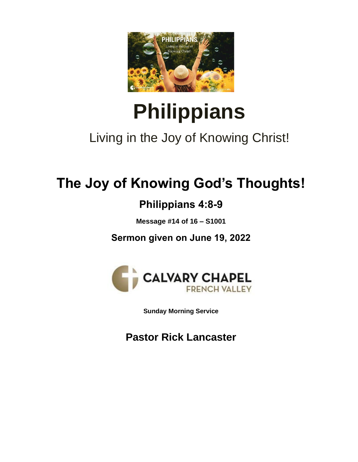

# **Philippians**

## Living in the Joy of Knowing Christ!

# **The Joy of Knowing God's Thoughts!**

## **Philippians 4:8-9**

**Message #14 of 16 – S1001**

**Sermon given on June 19, 2022**



**Sunday Morning Service**

**Pastor Rick Lancaster**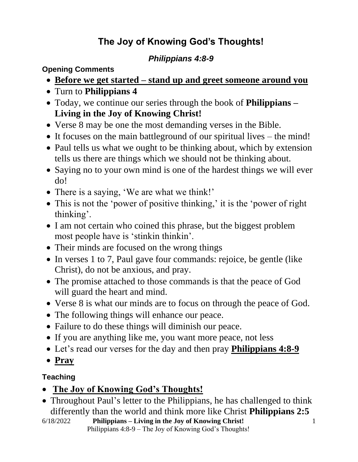### **The Joy of Knowing God's Thoughts!**

#### *Philippians 4:8-9*

**Opening Comments**

- **Before we get started – stand up and greet someone around you**
- Turn to **Philippians 4**
- Today, we continue our series through the book of **Philippians – Living in the Joy of Knowing Christ!**
- Verse 8 may be one the most demanding verses in the Bible.
- It focuses on the main battleground of our spiritual lives the mind!
- Paul tells us what we ought to be thinking about, which by extension tells us there are things which we should not be thinking about.
- Saying no to your own mind is one of the hardest things we will ever do!
- There is a saying, 'We are what we think!'
- This is not the 'power of positive thinking,' it is the 'power of right thinking'.
- I am not certain who coined this phrase, but the biggest problem most people have is 'stinkin thinkin'.
- Their minds are focused on the wrong things
- In verses 1 to 7, Paul gave four commands: rejoice, be gentle (like Christ), do not be anxious, and pray.
- The promise attached to those commands is that the peace of God will guard the heart and mind.
- Verse 8 is what our minds are to focus on through the peace of God.
- The following things will enhance our peace.
- Failure to do these things will diminish our peace.
- If you are anything like me, you want more peace, not less
- Let's read our verses for the day and then pray **Philippians 4:8-9**
- **Pray**

#### **Teaching**

- **The Joy of Knowing God's Thoughts!**
- Throughout Paul's letter to the Philippians, he has challenged to think differently than the world and think more like Christ **Philippians 2:5**
- 6/18/2022 **Philippians – Living in the Joy of Knowing Christ!** Philippians 4:8-9 – The Joy of Knowing God's Thoughts!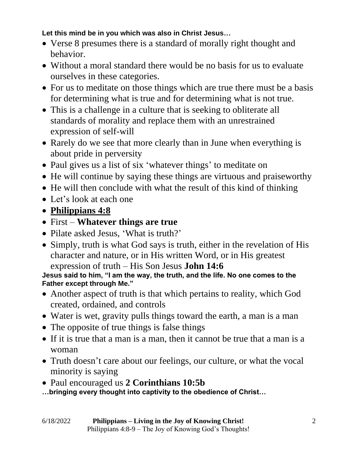#### **Let this mind be in you which was also in Christ Jesus…**

- Verse 8 presumes there is a standard of morally right thought and behavior.
- Without a moral standard there would be no basis for us to evaluate ourselves in these categories.
- For us to meditate on those things which are true there must be a basis for determining what is true and for determining what is not true.
- This is a challenge in a culture that is seeking to obliterate all standards of morality and replace them with an unrestrained expression of self-will
- Rarely do we see that more clearly than in June when everything is about pride in perversity
- Paul gives us a list of six 'whatever things' to meditate on
- He will continue by saying these things are virtuous and praiseworthy
- He will then conclude with what the result of this kind of thinking
- Let's look at each one
- **Philippians 4:8**
- First **Whatever things are true**
- Pilate asked Jesus, 'What is truth?'
- Simply, truth is what God says is truth, either in the revelation of His character and nature, or in His written Word, or in His greatest expression of truth – His Son Jesus **John 14:6**

**Jesus said to him, "I am the way, the truth, and the life. No one comes to the Father except through Me."**

- Another aspect of truth is that which pertains to reality, which God created, ordained, and controls
- Water is wet, gravity pulls things toward the earth, a man is a man
- The opposite of true things is false things
- If it is true that a man is a man, then it cannot be true that a man is a woman
- Truth doesn't care about our feelings, our culture, or what the vocal minority is saying
- Paul encouraged us **2 Corinthians 10:5b**
- **…bringing every thought into captivity to the obedience of Christ…**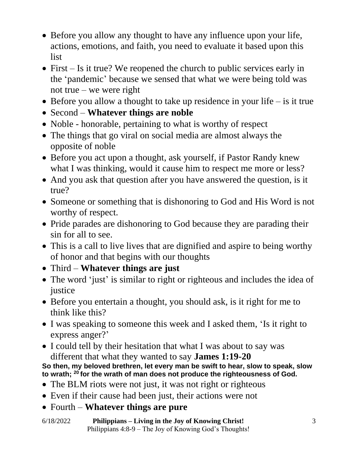- Before you allow any thought to have any influence upon your life, actions, emotions, and faith, you need to evaluate it based upon this list
- First Is it true? We reopened the church to public services early in the 'pandemic' because we sensed that what we were being told was not true – we were right
- Before you allow a thought to take up residence in your life is it true
- Second **Whatever things are noble**
- Noble honorable, pertaining to what is worthy of respect
- The things that go viral on social media are almost always the opposite of noble
- Before you act upon a thought, ask yourself, if Pastor Randy knew what I was thinking, would it cause him to respect me more or less?
- And you ask that question after you have answered the question, is it true?
- Someone or something that is dishonoring to God and His Word is not worthy of respect.
- Pride parades are dishonoring to God because they are parading their sin for all to see.
- This is a call to live lives that are dignified and aspire to being worthy of honor and that begins with our thoughts
- Third **Whatever things are just**
- The word 'just' is similar to right or righteous and includes the idea of justice
- Before you entertain a thought, you should ask, is it right for me to think like this?
- I was speaking to someone this week and I asked them, 'Is it right to express anger?'
- I could tell by their hesitation that what I was about to say was different that what they wanted to say **James 1:19-20**

**So then, my beloved brethren, let every man be swift to hear, slow to speak, slow to wrath; <sup>20</sup> for the wrath of man does not produce the righteousness of God.**

- The BLM riots were not just, it was not right or righteous
- Even if their cause had been just, their actions were not
- Fourth **Whatever things are pure**

6/18/2022 **Philippians – Living in the Joy of Knowing Christ!** Philippians 4:8-9 – The Joy of Knowing God's Thoughts!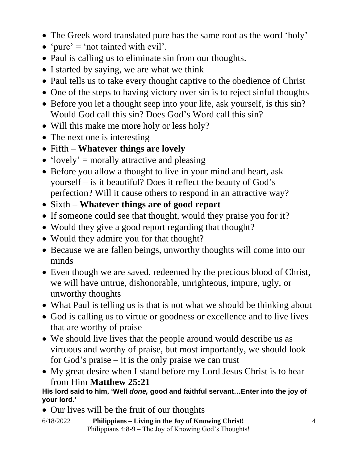- The Greek word translated pure has the same root as the word 'holy'
- 'pure' = 'not tainted with evil'.
- Paul is calling us to eliminate sin from our thoughts.
- I started by saying, we are what we think
- Paul tells us to take every thought captive to the obedience of Christ
- One of the steps to having victory over sin is to reject sinful thoughts
- Before you let a thought seep into your life, ask yourself, is this sin? Would God call this sin? Does God's Word call this sin?
- Will this make me more holy or less holy?
- The next one is interesting
- Fifth **Whatever things are lovely**
- 'lovely' = morally attractive and pleasing
- Before you allow a thought to live in your mind and heart, ask yourself – is it beautiful? Does it reflect the beauty of God's perfection? Will it cause others to respond in an attractive way?
- Sixth **Whatever things are of good report**
- If someone could see that thought, would they praise you for it?
- Would they give a good report regarding that thought?
- Would they admire you for that thought?
- Because we are fallen beings, unworthy thoughts will come into our minds
- Even though we are saved, redeemed by the precious blood of Christ, we will have untrue, dishonorable, unrighteous, impure, ugly, or unworthy thoughts
- What Paul is telling us is that is not what we should be thinking about
- God is calling us to virtue or goodness or excellence and to live lives that are worthy of praise
- We should live lives that the people around would describe us as virtuous and worthy of praise, but most importantly, we should look for God's praise  $-$  it is the only praise we can trust
- My great desire when I stand before my Lord Jesus Christ is to hear from Him **Matthew 25:21**

#### **His lord said to him, 'Well** *done,* **good and faithful servant…Enter into the joy of your lord.'**

- Our lives will be the fruit of our thoughts
- 6/18/2022 **Philippians – Living in the Joy of Knowing Christ!** Philippians 4:8-9 – The Joy of Knowing God's Thoughts!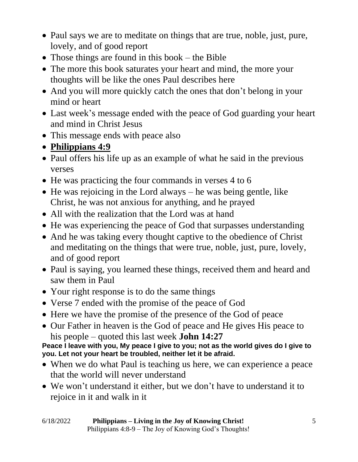- Paul says we are to meditate on things that are true, noble, just, pure, lovely, and of good report
- Those things are found in this book the Bible
- The more this book saturates your heart and mind, the more your thoughts will be like the ones Paul describes here
- And you will more quickly catch the ones that don't belong in your mind or heart
- Last week's message ended with the peace of God guarding your heart and mind in Christ Jesus
- This message ends with peace also
- **Philippians 4:9**
- Paul offers his life up as an example of what he said in the previous verses
- He was practicing the four commands in verses 4 to 6
- He was rejoicing in the Lord always he was being gentle, like Christ, he was not anxious for anything, and he prayed
- All with the realization that the Lord was at hand
- He was experiencing the peace of God that surpasses understanding
- And he was taking every thought captive to the obedience of Christ and meditating on the things that were true, noble, just, pure, lovely, and of good report
- Paul is saying, you learned these things, received them and heard and saw them in Paul
- Your right response is to do the same things
- Verse 7 ended with the promise of the peace of God
- Here we have the promise of the presence of the God of peace
- Our Father in heaven is the God of peace and He gives His peace to his people – quoted this last week **John 14:27**

Peace I leave with you, My peace I give to you; not as the world gives do I give to **you. Let not your heart be troubled, neither let it be afraid.**

- When we do what Paul is teaching us here, we can experience a peace that the world will never understand
- We won't understand it either, but we don't have to understand it to rejoice in it and walk in it